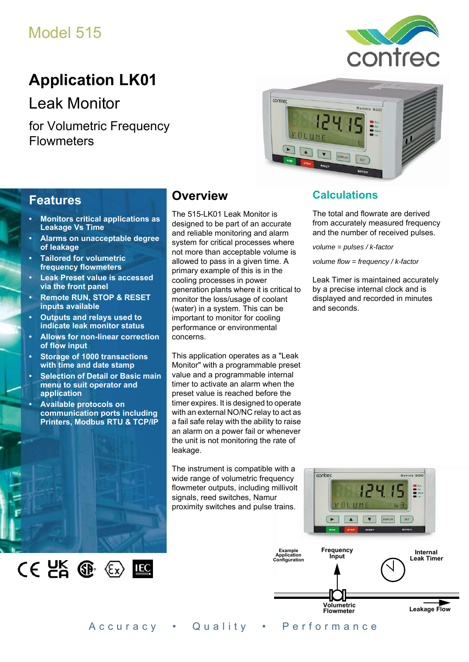# Model 515



# **Application LK01**

Leak Monitor

for Volumetric Frequency **Flowmeters** 



### **Features**

- **Monitors critical applications as Leakage Vs Time**
- **Alarms on unacceptable degree of leakage**
- **Tailored for volumetric frequency flowmeters**
- **Leak Preset value is accessed via the front panel**
- **Remote RUN, STOP & RESET inputs available**
- **Outputs and relays used to indicate leak monitor status**
- **Allows for non-linear correction of flow input**
- **Storage of 1000 transactions with time and date stamp**
- **Selection of Detail or Basic main menu to suit operator and application**
- **Available protocols on communication ports including Printers, Modbus RTU & TCP/IP**

 $CE$   $E$   $E$   $E$ 

## **Overview**

The 515-LK01 Leak Monitor is designed to be part of an accurate and reliable monitoring and alarm system for critical processes where not more than acceptable volume is allowed to pass in a given time. A primary example of this is in the cooling processes in power generation plants where it is critical to monitor the loss/usage of coolant (water) in a system. This can be important to monitor for cooling performance or environmental concerns.

This application operates as a "Leak Monitor" with a programmable preset value and a programmable internal timer to activate an alarm when the preset value is reached before the timer expires. It is designed to operate with an external NO/NC relay to act as a fail safe relay with the ability to raise an alarm on a power fail or whenever the unit is not monitoring the rate of leakage.

The instrument is compatible with a wide range of volumetric frequency flowmeter outputs, including millivolt signals, reed switches, Namur proximity switches and pulse trains.

## **Calculations**

The total and flowrate are derived from accurately measured frequency and the number of received pulses.

*volume = pulses / k-factor*

*volume flow = frequency / k-factor*

Leak Timer is maintained accurately by a precise internal clock and is displayed and recorded in minutes and seconds.



Accuracy • Quality • Performance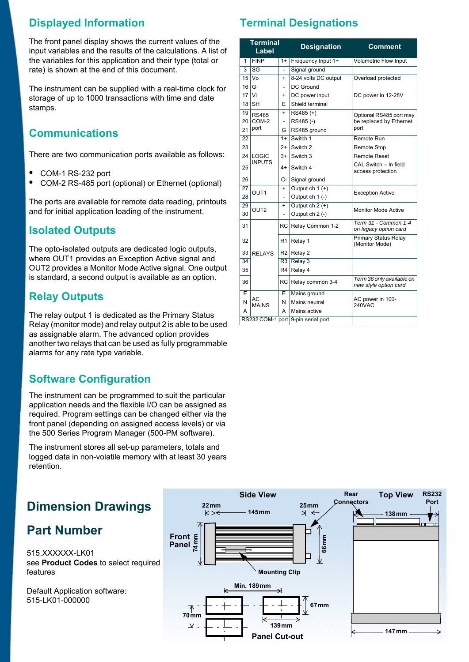## **Displayed Information**

The front panel display shows the current values of the input variables and the results of the calculations. A list of the variables for this application and their type (total or rate) is shown at the end of this document.

The instrument can be supplied with a real-time clock for storage of up to 1000 transactions with time and date stamps.

## **Communications**

There are two communication ports available as follows:

- **•** COM-1 RS-232 port
- **•** COM-2 RS-485 port (optional) or Ethernet (optional)

The ports are available for remote data reading, printouts and for initial application loading of the instrument.

## **Isolated Outputs**

The opto-isolated outputs are dedicated logic outputs, where OUT1 provides an Exception Active signal and OUT2 provides a Monitor Mode Active signal. One output is standard, a second output is available as an option.

## **Relay Outputs**

The relay output 1 is dedicated as the Primary Status Relay (monitor mode) and relay output 2 is able to be used as assignable alarm. The advanced option provides another two relays that can be used as fully programmable alarms for any rate type variable.

## **Software Configuration**

The instrument can be programmed to suit the particular application needs and the flexible I/O can be assigned as required. Program settings can be changed either via the front panel (depending on assigned access levels) or via the 500 Series Program Manager (500-PM software).

The instrument stores all set-up parameters, totals and logged data in non-volatile memory with at least 30 years retention.

## **Dimension Drawings**

## **Part Number**

515.XXXXXX-LK01 see **[Product Codes](#page-3-0)** to select required features

Default Application software: 515-LK01-000000

## **Terminal Designations**

|                 | Terminal<br>Label                  |                              | <b>Designation</b>   | <b>Comment</b>                                     |  |
|-----------------|------------------------------------|------------------------------|----------------------|----------------------------------------------------|--|
| 1               | <b>FINP</b>                        | $1+$                         | Frequency Input 1+   | <b>Volumetric Flow Input</b>                       |  |
| 3               | SG                                 |                              | Signal ground        |                                                    |  |
| 15 <sup>1</sup> | V <sub>O</sub>                     | $\ddot{}$                    | 8-24 volts DC output | Overload protected                                 |  |
| 16              | G                                  | ä,                           | DC Ground            |                                                    |  |
| 17              | Vi                                 | $\ddot{}$                    | DC power input       | DC power in 12-28V                                 |  |
| 18              | <b>SH</b>                          | F                            | Shield terminal      |                                                    |  |
| 19              | <b>RS485</b>                       | $\ddot{}$                    | RS485 (+)            | Optional RS485 port may                            |  |
| 20              | COM-2                              | $\qquad \qquad \blacksquare$ | RS485(-)             | be replaced by Ethernet                            |  |
| 21              | port                               | G                            | RS485 ground         | port.                                              |  |
| 22              |                                    | $1+$                         | Switch 1             | Remote Run                                         |  |
| 23              |                                    | $2+$                         | Switch 2             | <b>Remote Stop</b>                                 |  |
| 24              | LOGIC                              | $3+$                         | Switch 3             | <b>Remote Reset</b>                                |  |
| 25              | <b>INPUTS</b>                      | 4+                           | Switch 4             | CAL Switch - In field<br>access protection         |  |
| 26              |                                    | C-                           | Signal ground        |                                                    |  |
| 27              | OUT <sub>1</sub>                   | $\ddot{}$                    | Output ch 1 (+)      | <b>Exception Active</b>                            |  |
| 28              |                                    |                              | Output ch 1 (-)      |                                                    |  |
| 29              | OUT <sub>2</sub>                   | $\ddot{}$                    | Output $ch 2 (+)$    | <b>Monitor Mode Active</b>                         |  |
| 30              |                                    |                              | Output ch 2 (-)      |                                                    |  |
| 31              |                                    | RC.                          | Relay Common 1-2     | Term 31 - Common 1-4<br>on legacy option card      |  |
| 32              |                                    | R1                           | Relay 1              | <b>Primary Status Relay</b><br>(Monitor Mode)      |  |
| 33              | <b>RELAYS</b>                      |                              | $R2$ Relay 2         |                                                    |  |
| 34              |                                    | R <sub>3</sub>               | Relay 3              |                                                    |  |
| 35              |                                    | R4                           | Relay 4              |                                                    |  |
| 36              |                                    | RC                           | Relay common 3-4     | Term 36 only available on<br>new style option card |  |
| F               |                                    | E                            | Mains ground         |                                                    |  |
| N               | AC<br><b>MAINS</b>                 | N                            | Mains neutral        | AC power in 100-<br><b>240VAC</b>                  |  |
| A               | А                                  |                              | Mains active         |                                                    |  |
|                 | RS232 COM-1 port 9-pin serial port |                              |                      |                                                    |  |

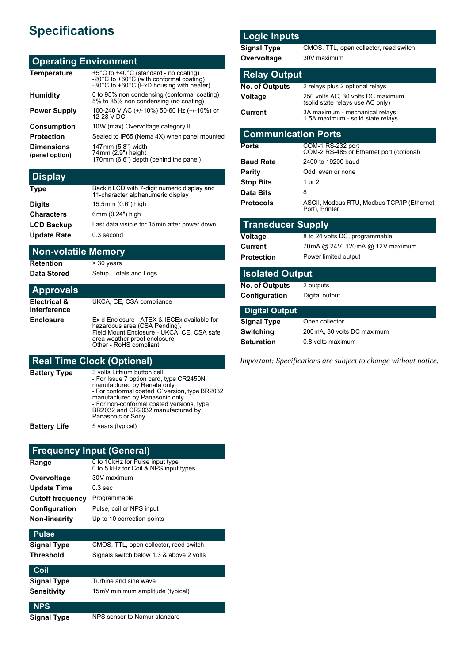# **Specifications**

#### **Operating Environment**

| <b>Temperature</b>                  | +5°C to +40°C (standard - no coating)<br>-20℃ to +60℃ (with conformal coating)<br>-30℃ to +60℃ (ExD housing with heater) |
|-------------------------------------|--------------------------------------------------------------------------------------------------------------------------|
| <b>Humidity</b>                     | 0 to 95% non condensing (conformal coating)<br>5% to 85% non condensing (no coating)                                     |
| <b>Power Supply</b>                 | 100-240 V AC (+/-10%) 50-60 Hz (+/-10%) or<br>12-28 V DC                                                                 |
| <b>Consumption</b>                  | 10W (max) Overvoltage category II                                                                                        |
| <b>Protection</b>                   | Sealed to IP65 (Nema 4X) when panel mounted                                                                              |
| <b>Dimensions</b><br>(panel option) | 147mm (5.8") width<br>74mm (2.9") height<br>170mm (6.6") depth (behind the panel)                                        |

## **Display**

| <b>Type</b>        | Backlit LCD with 7-digit numeric display and<br>11-character alphanumeric display |
|--------------------|-----------------------------------------------------------------------------------|
| <b>Digits</b>      | 15.5mm (0.6") high                                                                |
| <b>Characters</b>  | 6mm (0.24") high                                                                  |
| <b>LCD Backup</b>  | Last data visible for 15 min after power down                                     |
| <b>Update Rate</b> | 0.3 second                                                                        |

#### **Non-volatile Memory**

**Retention** > 30 years

**Data Stored** Setup, Totals and Logs

#### **Approvals Electrical & Interference** UKCA, CE, CSA compliance **Enclosure** Ex d Enclosure - ATEX & IECEx available for hazardous area (CSA Pending). Field Mount Enclosure - UKCA, CE, CSA safe

area weather proof enclosure. Other - RoHS compliant

#### **Real Time Clock (Optional)**

| Battery Type | 3 volts Lithium button cell<br>- For Issue 7 option card, type CR2450N<br>manufactured by Renata only<br>- For conformal coated 'C' version, type BR2032<br>manufactured by Panasonic only<br>- For non-conformal coated versions, type<br>BR2032 and CR2032 manufactured by<br>Panasonic or Sony |
|--------------|---------------------------------------------------------------------------------------------------------------------------------------------------------------------------------------------------------------------------------------------------------------------------------------------------|
| Battery Life | 5 years (typical)                                                                                                                                                                                                                                                                                 |

#### **Frequency Input (General)**

| Range                   | 0 to 10 kHz for Pulse input type<br>0 to 5 kHz for Coil & NPS input types |
|-------------------------|---------------------------------------------------------------------------|
| Overvoltage             | 30V maximum                                                               |
| <b>Update Time</b>      | $0.3$ sec                                                                 |
| <b>Cutoff frequency</b> | Programmable                                                              |
| Configuration           | Pulse, coil or NPS input                                                  |
| <b>Non-linearity</b>    | Up to 10 correction points                                                |
|                         |                                                                           |

### **Pulse Signal Type** CMOS, TTL, open collector, reed switch **Threshold** Signals switch below 1.3 & above 2 volts **Coil Signal Type** Turbine and sine wave **Sensitivity** 15mV minimum amplitude (typical) **NPS**

**Signal Type** NPS sensor to Namur standard

#### **Logic Inputs**

**Signal Type** CMOS, TTL, open collector, reed switch **Overvoltage** 30V maximum

#### **Relay Output**

| 2 relays plus 2 optional relays                                       |
|-----------------------------------------------------------------------|
| 250 volts AC, 30 volts DC maximum<br>(solid state relays use AC only) |
| 3A maximum - mechanical relays<br>1.5A maximum - solid state relays   |
|                                                                       |

#### **Communication Ports**

| <b>Ports</b>     | COM-1 RS-232 port<br>COM-2 RS-485 or Ethernet port (optional) |
|------------------|---------------------------------------------------------------|
| <b>Baud Rate</b> | 2400 to 19200 baud                                            |
| <b>Parity</b>    | Odd, even or none                                             |
| <b>Stop Bits</b> | 1 or 2                                                        |
| Data Bits        | 8                                                             |
| <b>Protocols</b> | ASCII, Modbus RTU, Modbus TCP/IP (Ethernet)<br>Port), Printer |

#### **Transducer Supply**

| Voltage    | 8 to 24 volts DC, programmable  |
|------------|---------------------------------|
| Current    | 70mA @ 24V, 120mA @ 12V maximum |
| Protection | Power limited output            |
|            |                                 |

#### **Isolated Output**

| <b>No. of Outputs</b> | 2 outputs      |
|-----------------------|----------------|
| Configuration         | Digital output |

#### **Digital Output Signal Type** Open collector

| סעץ ו ו <b>אוו</b> עוט | OPEN CONCORDI               |
|------------------------|-----------------------------|
| Switching              | 200 mA, 30 volts DC maximum |
| Saturation             | 0.8 volts maximum           |

*Important: Specifications are subject to change without notice.*